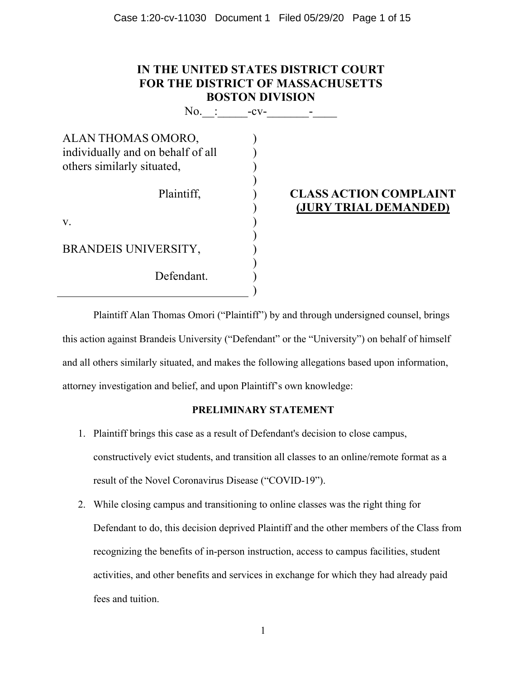| IN THE UNITED STATES DISTRICT COURT<br><b>FOR THE DISTRICT OF MASSACHUSETTS</b><br><b>BOSTON DIVISION</b> |  |                                                        |  |  |  |
|-----------------------------------------------------------------------------------------------------------|--|--------------------------------------------------------|--|--|--|
| No. $\colon$ -cv-                                                                                         |  |                                                        |  |  |  |
| ALAN THOMAS OMORO,<br>individually and on behalf of all                                                   |  |                                                        |  |  |  |
| others similarly situated,                                                                                |  |                                                        |  |  |  |
| Plaintiff,                                                                                                |  | <b>CLASS ACTION COMPLAINT</b><br>(JURY TRIAL DEMANDED) |  |  |  |
| V.                                                                                                        |  |                                                        |  |  |  |
| <b>BRANDEIS UNIVERSITY,</b>                                                                               |  |                                                        |  |  |  |
| Defendant.                                                                                                |  |                                                        |  |  |  |
|                                                                                                           |  |                                                        |  |  |  |

Plaintiff Alan Thomas Omori ("Plaintiff") by and through undersigned counsel, brings this action against Brandeis University ("Defendant" or the "University") on behalf of himself and all others similarly situated, and makes the following allegations based upon information, attorney investigation and belief, and upon Plaintiff's own knowledge:

## **PRELIMINARY STATEMENT**

- 1. Plaintiff brings this case as a result of Defendant's decision to close campus, constructively evict students, and transition all classes to an online/remote format as a result of the Novel Coronavirus Disease ("COVID-19").
- 2. While closing campus and transitioning to online classes was the right thing for Defendant to do, this decision deprived Plaintiff and the other members of the Class from recognizing the benefits of in-person instruction, access to campus facilities, student activities, and other benefits and services in exchange for which they had already paid fees and tuition.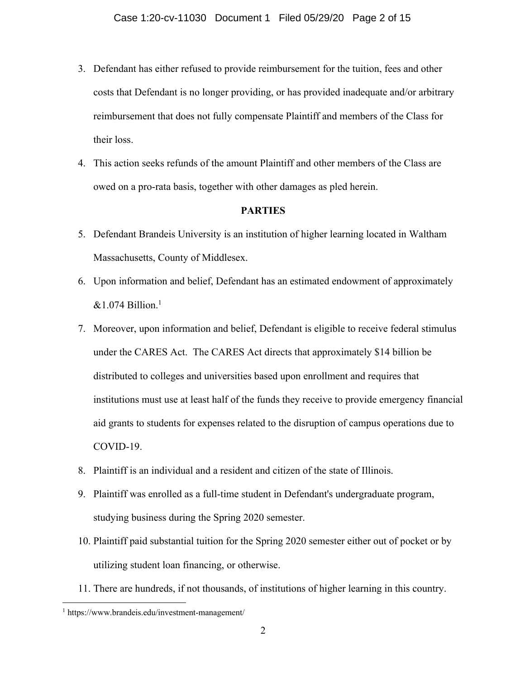- 3. Defendant has either refused to provide reimbursement for the tuition, fees and other costs that Defendant is no longer providing, or has provided inadequate and/or arbitrary reimbursement that does not fully compensate Plaintiff and members of the Class for their loss.
- 4. This action seeks refunds of the amount Plaintiff and other members of the Class are owed on a pro-rata basis, together with other damages as pled herein.

#### **PARTIES**

- 5. Defendant Brandeis University is an institution of higher learning located in Waltham Massachusetts, County of Middlesex.
- 6. Upon information and belief, Defendant has an estimated endowment of approximately  $&1.074$  Billion.<sup>1</sup>
- 7. Moreover, upon information and belief, Defendant is eligible to receive federal stimulus under the CARES Act. The CARES Act directs that approximately \$14 billion be distributed to colleges and universities based upon enrollment and requires that institutions must use at least half of the funds they receive to provide emergency financial aid grants to students for expenses related to the disruption of campus operations due to COVID-19.
- 8. Plaintiff is an individual and a resident and citizen of the state of Illinois.
- 9. Plaintiff was enrolled as a full-time student in Defendant's undergraduate program, studying business during the Spring 2020 semester.
- 10. Plaintiff paid substantial tuition for the Spring 2020 semester either out of pocket or by utilizing student loan financing, or otherwise.
- 11. There are hundreds, if not thousands, of institutions of higher learning in this country.

<sup>1</sup> https://www.brandeis.edu/investment-management/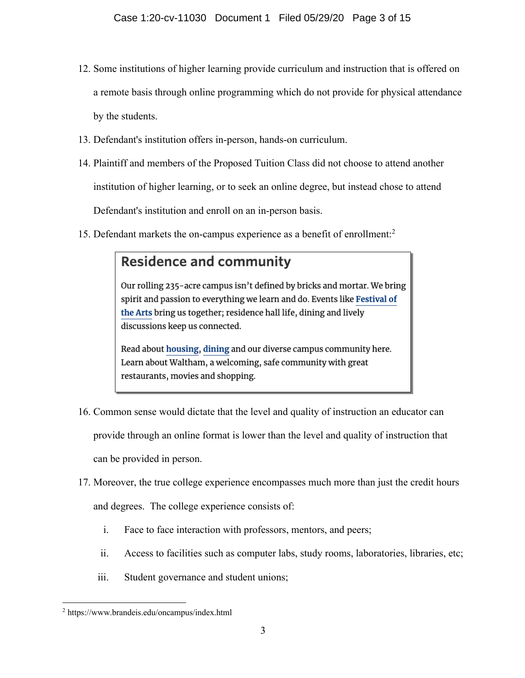- 12. Some institutions of higher learning provide curriculum and instruction that is offered on a remote basis through online programming which do not provide for physical attendance by the students.
- 13. Defendant's institution offers in-person, hands-on curriculum.
- 14. Plaintiff and members of the Proposed Tuition Class did not choose to attend another institution of higher learning, or to seek an online degree, but instead chose to attend Defendant's institution and enroll on an in-person basis.
- 15. Defendant markets the on-campus experience as a benefit of enrollment:<sup>2</sup>

## **Residence and community**

Our rolling 235-acre campus isn't defined by bricks and mortar. We bring spirit and passion to everything we learn and do. Events like Festival of the Arts bring us together; residence hall life, dining and lively discussions keep us connected.

Read about housing, dining and our diverse campus community here. Learn about Waltham, a welcoming, safe community with great restaurants, movies and shopping.

- 16. Common sense would dictate that the level and quality of instruction an educator can provide through an online format is lower than the level and quality of instruction that can be provided in person.
- 17. Moreover, the true college experience encompasses much more than just the credit hours

and degrees. The college experience consists of:

- i. Face to face interaction with professors, mentors, and peers;
- ii. Access to facilities such as computer labs, study rooms, laboratories, libraries, etc;
- iii. Student governance and student unions;

<sup>2</sup> https://www.brandeis.edu/oncampus/index.html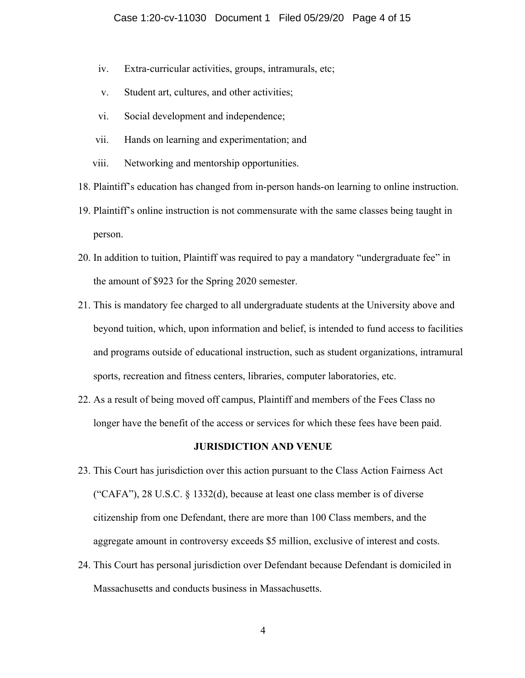- iv. Extra-curricular activities, groups, intramurals, etc;
- v. Student art, cultures, and other activities;
- vi. Social development and independence;
- vii. Hands on learning and experimentation; and
- viii. Networking and mentorship opportunities.
- 18. Plaintiff's education has changed from in-person hands-on learning to online instruction.
- 19. Plaintiff's online instruction is not commensurate with the same classes being taught in person.
- 20. In addition to tuition, Plaintiff was required to pay a mandatory "undergraduate fee" in the amount of \$923 for the Spring 2020 semester.
- 21. This is mandatory fee charged to all undergraduate students at the University above and beyond tuition, which, upon information and belief, is intended to fund access to facilities and programs outside of educational instruction, such as student organizations, intramural sports, recreation and fitness centers, libraries, computer laboratories, etc.
- 22. As a result of being moved off campus, Plaintiff and members of the Fees Class no longer have the benefit of the access or services for which these fees have been paid.

#### **JURISDICTION AND VENUE**

- 23. This Court has jurisdiction over this action pursuant to the Class Action Fairness Act ("CAFA"), 28 U.S.C. § 1332(d), because at least one class member is of diverse citizenship from one Defendant, there are more than 100 Class members, and the aggregate amount in controversy exceeds \$5 million, exclusive of interest and costs.
- 24. This Court has personal jurisdiction over Defendant because Defendant is domiciled in Massachusetts and conducts business in Massachusetts.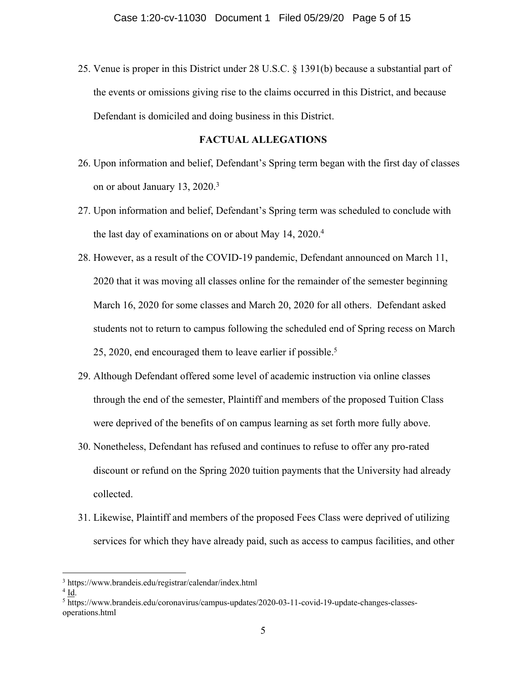25. Venue is proper in this District under 28 U.S.C. § 1391(b) because a substantial part of the events or omissions giving rise to the claims occurred in this District, and because Defendant is domiciled and doing business in this District.

#### **FACTUAL ALLEGATIONS**

- 26. Upon information and belief, Defendant's Spring term began with the first day of classes on or about January 13, 2020.3
- 27. Upon information and belief, Defendant's Spring term was scheduled to conclude with the last day of examinations on or about May 14, 2020. 4
- 28. However, as a result of the COVID-19 pandemic, Defendant announced on March 11, 2020 that it was moving all classes online for the remainder of the semester beginning March 16, 2020 for some classes and March 20, 2020 for all others. Defendant asked students not to return to campus following the scheduled end of Spring recess on March 25, 2020, end encouraged them to leave earlier if possible.<sup>5</sup>
- 29. Although Defendant offered some level of academic instruction via online classes through the end of the semester, Plaintiff and members of the proposed Tuition Class were deprived of the benefits of on campus learning as set forth more fully above.
- 30. Nonetheless, Defendant has refused and continues to refuse to offer any pro-rated discount or refund on the Spring 2020 tuition payments that the University had already collected.
- 31. Likewise, Plaintiff and members of the proposed Fees Class were deprived of utilizing services for which they have already paid, such as access to campus facilities, and other

<sup>3</sup> https://www.brandeis.edu/registrar/calendar/index.html

<sup>4</sup> Id.

<sup>5</sup> https://www.brandeis.edu/coronavirus/campus-updates/2020-03-11-covid-19-update-changes-classesoperations.html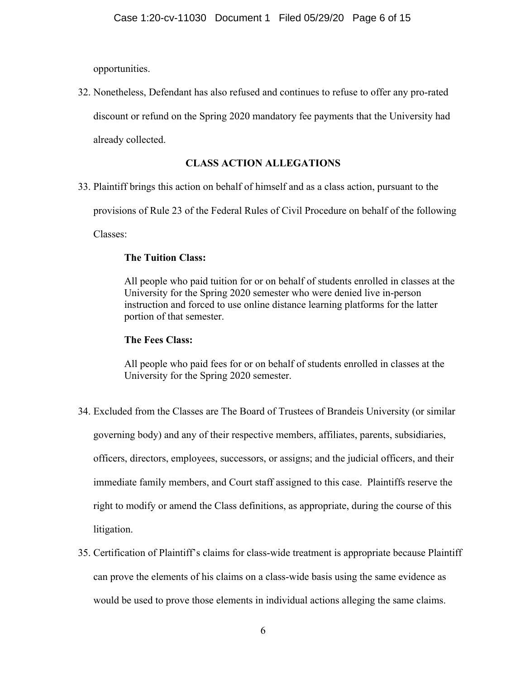opportunities.

32. Nonetheless, Defendant has also refused and continues to refuse to offer any pro-rated discount or refund on the Spring 2020 mandatory fee payments that the University had already collected.

## **CLASS ACTION ALLEGATIONS**

33. Plaintiff brings this action on behalf of himself and as a class action, pursuant to the

provisions of Rule 23 of the Federal Rules of Civil Procedure on behalf of the following

Classes:

## **The Tuition Class:**

All people who paid tuition for or on behalf of students enrolled in classes at the University for the Spring 2020 semester who were denied live in-person instruction and forced to use online distance learning platforms for the latter portion of that semester.

## **The Fees Class:**

All people who paid fees for or on behalf of students enrolled in classes at the University for the Spring 2020 semester.

- 34. Excluded from the Classes are The Board of Trustees of Brandeis University (or similar governing body) and any of their respective members, affiliates, parents, subsidiaries, officers, directors, employees, successors, or assigns; and the judicial officers, and their immediate family members, and Court staff assigned to this case. Plaintiffs reserve the right to modify or amend the Class definitions, as appropriate, during the course of this litigation.
- 35. Certification of Plaintiff's claims for class-wide treatment is appropriate because Plaintiff can prove the elements of his claims on a class-wide basis using the same evidence as would be used to prove those elements in individual actions alleging the same claims.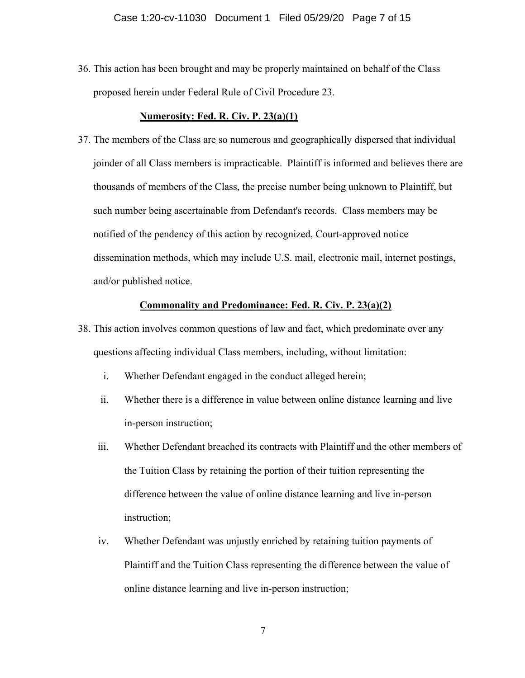36. This action has been brought and may be properly maintained on behalf of the Class proposed herein under Federal Rule of Civil Procedure 23.

#### **Numerosity: Fed. R. Civ. P. 23(a)(1)**

37. The members of the Class are so numerous and geographically dispersed that individual joinder of all Class members is impracticable. Plaintiff is informed and believes there are thousands of members of the Class, the precise number being unknown to Plaintiff, but such number being ascertainable from Defendant's records. Class members may be notified of the pendency of this action by recognized, Court-approved notice dissemination methods, which may include U.S. mail, electronic mail, internet postings, and/or published notice.

#### **Commonality and Predominance: Fed. R. Civ. P. 23(a)(2)**

- 38. This action involves common questions of law and fact, which predominate over any questions affecting individual Class members, including, without limitation:
	- i. Whether Defendant engaged in the conduct alleged herein;
	- ii. Whether there is a difference in value between online distance learning and live in-person instruction;
	- iii. Whether Defendant breached its contracts with Plaintiff and the other members of the Tuition Class by retaining the portion of their tuition representing the difference between the value of online distance learning and live in-person instruction;
	- iv. Whether Defendant was unjustly enriched by retaining tuition payments of Plaintiff and the Tuition Class representing the difference between the value of online distance learning and live in-person instruction;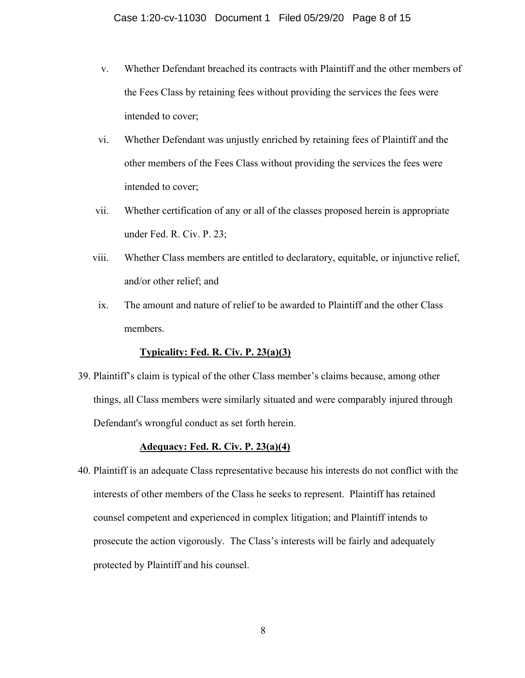- v. Whether Defendant breached its contracts with Plaintiff and the other members of the Fees Class by retaining fees without providing the services the fees were intended to cover;
- vi. Whether Defendant was unjustly enriched by retaining fees of Plaintiff and the other members of the Fees Class without providing the services the fees were intended to cover;
- vii. Whether certification of any or all of the classes proposed herein is appropriate under Fed. R. Civ. P. 23;
- viii. Whether Class members are entitled to declaratory, equitable, or injunctive relief, and/or other relief; and
- ix. The amount and nature of relief to be awarded to Plaintiff and the other Class members.

#### **Typicality: Fed. R. Civ. P. 23(a)(3)**

39. Plaintiff's claim is typical of the other Class member's claims because, among other things, all Class members were similarly situated and were comparably injured through Defendant's wrongful conduct as set forth herein.

#### **Adequacy: Fed. R. Civ. P. 23(a)(4)**

40. Plaintiff is an adequate Class representative because his interests do not conflict with the interests of other members of the Class he seeks to represent. Plaintiff has retained counsel competent and experienced in complex litigation; and Plaintiff intends to prosecute the action vigorously. The Class's interests will be fairly and adequately protected by Plaintiff and his counsel.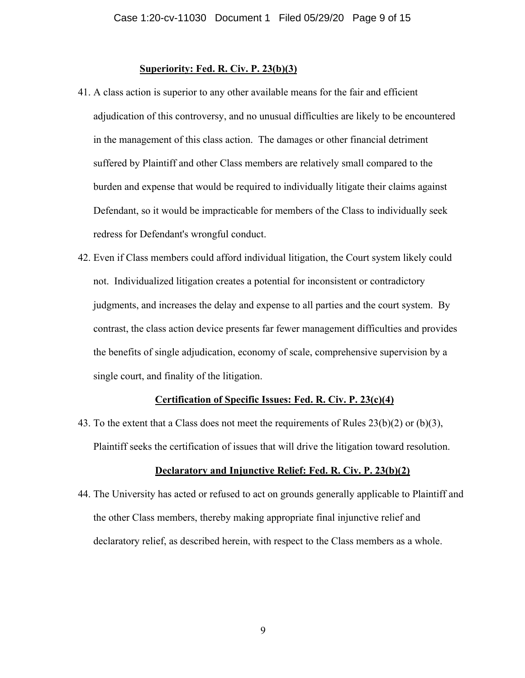#### **Superiority: Fed. R. Civ. P. 23(b)(3)**

- 41. A class action is superior to any other available means for the fair and efficient adjudication of this controversy, and no unusual difficulties are likely to be encountered in the management of this class action. The damages or other financial detriment suffered by Plaintiff and other Class members are relatively small compared to the burden and expense that would be required to individually litigate their claims against Defendant, so it would be impracticable for members of the Class to individually seek redress for Defendant's wrongful conduct.
- 42. Even if Class members could afford individual litigation, the Court system likely could not. Individualized litigation creates a potential for inconsistent or contradictory judgments, and increases the delay and expense to all parties and the court system. By contrast, the class action device presents far fewer management difficulties and provides the benefits of single adjudication, economy of scale, comprehensive supervision by a single court, and finality of the litigation.

#### **Certification of Specific Issues: Fed. R. Civ. P. 23(c)(4)**

43. To the extent that a Class does not meet the requirements of Rules 23(b)(2) or (b)(3), Plaintiff seeks the certification of issues that will drive the litigation toward resolution.

#### **Declaratory and Injunctive Relief: Fed. R. Civ. P. 23(b)(2)**

44. The University has acted or refused to act on grounds generally applicable to Plaintiff and the other Class members, thereby making appropriate final injunctive relief and declaratory relief, as described herein, with respect to the Class members as a whole.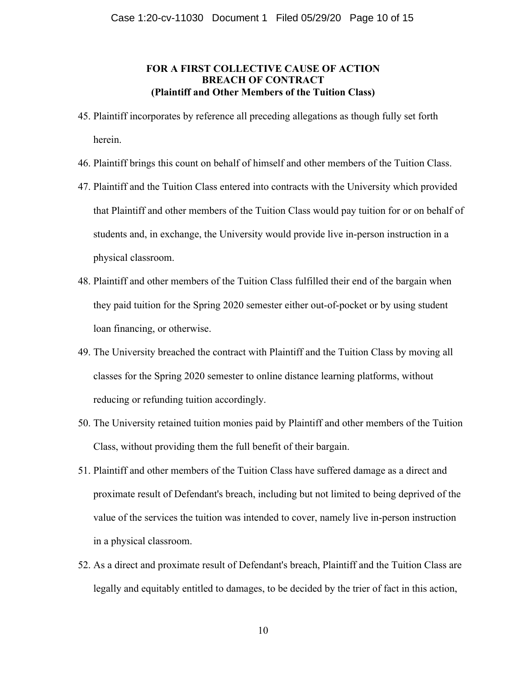## **FOR A FIRST COLLECTIVE CAUSE OF ACTION BREACH OF CONTRACT (Plaintiff and Other Members of the Tuition Class)**

- 45. Plaintiff incorporates by reference all preceding allegations as though fully set forth herein.
- 46. Plaintiff brings this count on behalf of himself and other members of the Tuition Class.
- 47. Plaintiff and the Tuition Class entered into contracts with the University which provided that Plaintiff and other members of the Tuition Class would pay tuition for or on behalf of students and, in exchange, the University would provide live in-person instruction in a physical classroom.
- 48. Plaintiff and other members of the Tuition Class fulfilled their end of the bargain when they paid tuition for the Spring 2020 semester either out-of-pocket or by using student loan financing, or otherwise.
- 49. The University breached the contract with Plaintiff and the Tuition Class by moving all classes for the Spring 2020 semester to online distance learning platforms, without reducing or refunding tuition accordingly.
- 50. The University retained tuition monies paid by Plaintiff and other members of the Tuition Class, without providing them the full benefit of their bargain.
- 51. Plaintiff and other members of the Tuition Class have suffered damage as a direct and proximate result of Defendant's breach, including but not limited to being deprived of the value of the services the tuition was intended to cover, namely live in-person instruction in a physical classroom.
- 52. As a direct and proximate result of Defendant's breach, Plaintiff and the Tuition Class are legally and equitably entitled to damages, to be decided by the trier of fact in this action,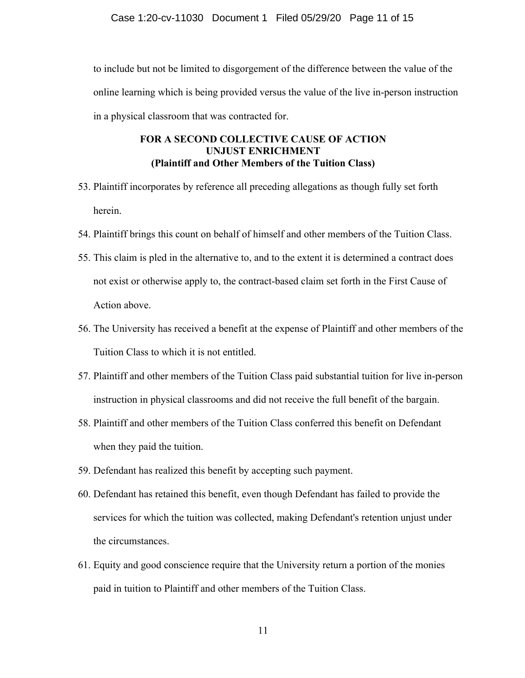to include but not be limited to disgorgement of the difference between the value of the online learning which is being provided versus the value of the live in-person instruction in a physical classroom that was contracted for.

## **FOR A SECOND COLLECTIVE CAUSE OF ACTION UNJUST ENRICHMENT (Plaintiff and Other Members of the Tuition Class)**

- 53. Plaintiff incorporates by reference all preceding allegations as though fully set forth herein.
- 54. Plaintiff brings this count on behalf of himself and other members of the Tuition Class.
- 55. This claim is pled in the alternative to, and to the extent it is determined a contract does not exist or otherwise apply to, the contract-based claim set forth in the First Cause of Action above.
- 56. The University has received a benefit at the expense of Plaintiff and other members of the Tuition Class to which it is not entitled.
- 57. Plaintiff and other members of the Tuition Class paid substantial tuition for live in-person instruction in physical classrooms and did not receive the full benefit of the bargain.
- 58. Plaintiff and other members of the Tuition Class conferred this benefit on Defendant when they paid the tuition.
- 59. Defendant has realized this benefit by accepting such payment.
- 60. Defendant has retained this benefit, even though Defendant has failed to provide the services for which the tuition was collected, making Defendant's retention unjust under the circumstances.
- 61. Equity and good conscience require that the University return a portion of the monies paid in tuition to Plaintiff and other members of the Tuition Class.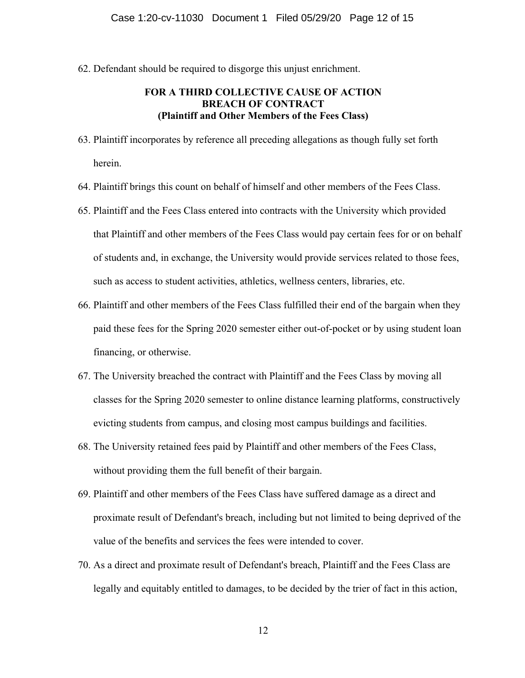62. Defendant should be required to disgorge this unjust enrichment.

## **FOR A THIRD COLLECTIVE CAUSE OF ACTION BREACH OF CONTRACT (Plaintiff and Other Members of the Fees Class)**

- 63. Plaintiff incorporates by reference all preceding allegations as though fully set forth herein.
- 64. Plaintiff brings this count on behalf of himself and other members of the Fees Class.
- 65. Plaintiff and the Fees Class entered into contracts with the University which provided that Plaintiff and other members of the Fees Class would pay certain fees for or on behalf of students and, in exchange, the University would provide services related to those fees, such as access to student activities, athletics, wellness centers, libraries, etc.
- 66. Plaintiff and other members of the Fees Class fulfilled their end of the bargain when they paid these fees for the Spring 2020 semester either out-of-pocket or by using student loan financing, or otherwise.
- 67. The University breached the contract with Plaintiff and the Fees Class by moving all classes for the Spring 2020 semester to online distance learning platforms, constructively evicting students from campus, and closing most campus buildings and facilities.
- 68. The University retained fees paid by Plaintiff and other members of the Fees Class, without providing them the full benefit of their bargain.
- 69. Plaintiff and other members of the Fees Class have suffered damage as a direct and proximate result of Defendant's breach, including but not limited to being deprived of the value of the benefits and services the fees were intended to cover.
- 70. As a direct and proximate result of Defendant's breach, Plaintiff and the Fees Class are legally and equitably entitled to damages, to be decided by the trier of fact in this action,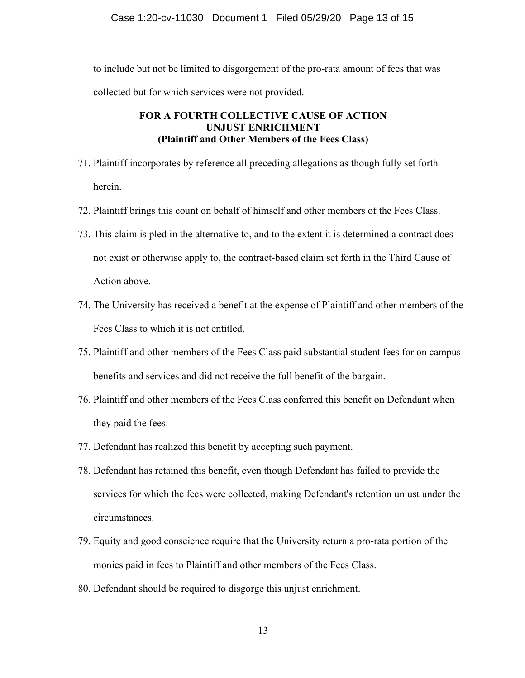to include but not be limited to disgorgement of the pro-rata amount of fees that was collected but for which services were not provided.

## **FOR A FOURTH COLLECTIVE CAUSE OF ACTION UNJUST ENRICHMENT (Plaintiff and Other Members of the Fees Class)**

- 71. Plaintiff incorporates by reference all preceding allegations as though fully set forth herein.
- 72. Plaintiff brings this count on behalf of himself and other members of the Fees Class.
- 73. This claim is pled in the alternative to, and to the extent it is determined a contract does not exist or otherwise apply to, the contract-based claim set forth in the Third Cause of Action above.
- 74. The University has received a benefit at the expense of Plaintiff and other members of the Fees Class to which it is not entitled.
- 75. Plaintiff and other members of the Fees Class paid substantial student fees for on campus benefits and services and did not receive the full benefit of the bargain.
- 76. Plaintiff and other members of the Fees Class conferred this benefit on Defendant when they paid the fees.
- 77. Defendant has realized this benefit by accepting such payment.
- 78. Defendant has retained this benefit, even though Defendant has failed to provide the services for which the fees were collected, making Defendant's retention unjust under the circumstances.
- 79. Equity and good conscience require that the University return a pro-rata portion of the monies paid in fees to Plaintiff and other members of the Fees Class.
- 80. Defendant should be required to disgorge this unjust enrichment.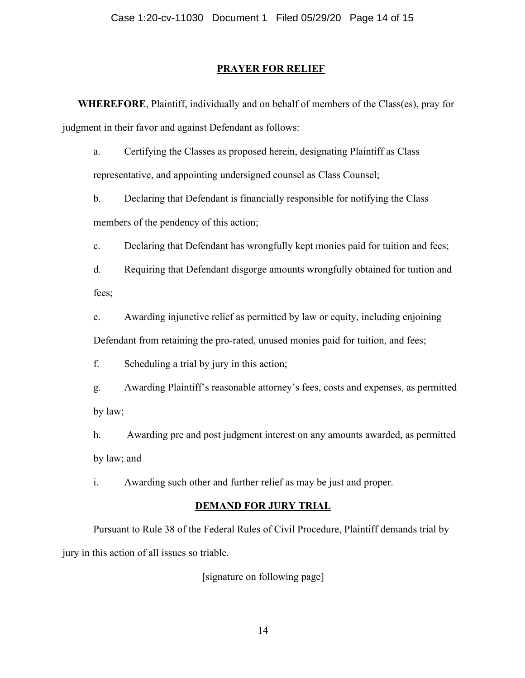### **PRAYER FOR RELIEF**

**WHEREFORE**, Plaintiff, individually and on behalf of members of the Class(es), pray for judgment in their favor and against Defendant as follows:

a. Certifying the Classes as proposed herein, designating Plaintiff as Class representative, and appointing undersigned counsel as Class Counsel;

b. Declaring that Defendant is financially responsible for notifying the Class members of the pendency of this action;

c. Declaring that Defendant has wrongfully kept monies paid for tuition and fees;

d. Requiring that Defendant disgorge amounts wrongfully obtained for tuition and fees;

e. Awarding injunctive relief as permitted by law or equity, including enjoining Defendant from retaining the pro-rated, unused monies paid for tuition, and fees;

f. Scheduling a trial by jury in this action;

g. Awarding Plaintiff's reasonable attorney's fees, costs and expenses, as permitted by law;

h. Awarding pre and post judgment interest on any amounts awarded, as permitted by law; and

i. Awarding such other and further relief as may be just and proper.

#### **DEMAND FOR JURY TRIAL**

Pursuant to Rule 38 of the Federal Rules of Civil Procedure, Plaintiff demands trial by jury in this action of all issues so triable.

[signature on following page]

14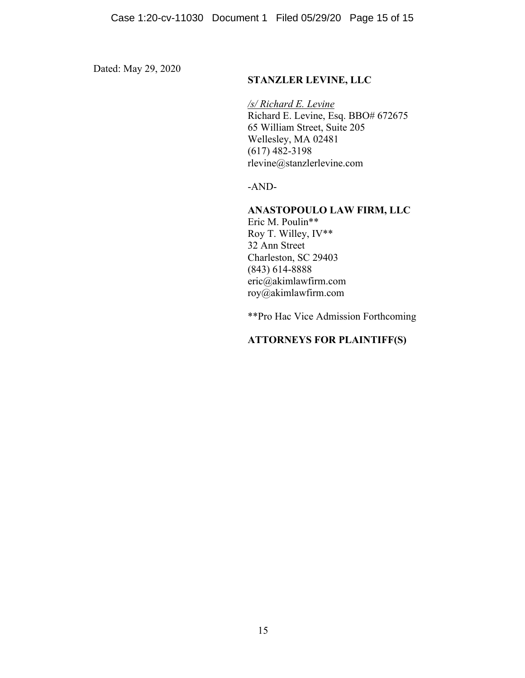Dated: May 29, 2020

## **STANZLER LEVINE, LLC**

*/s/ Richard E. Levine*  Richard E. Levine, Esq. BBO# 672675 65 William Street, Suite 205 Wellesley, MA 02481 (617) 482-3198 rlevine@stanzlerlevine.com

-AND-

## **ANASTOPOULO LAW FIRM, LLC**

Eric M. Poulin\*\* Roy T. Willey, IV\*\* 32 Ann Street Charleston, SC 29403 (843) 614-8888 eric@akimlawfirm.com roy@akimlawfirm.com

\*\*Pro Hac Vice Admission Forthcoming

## **ATTORNEYS FOR PLAINTIFF(S)**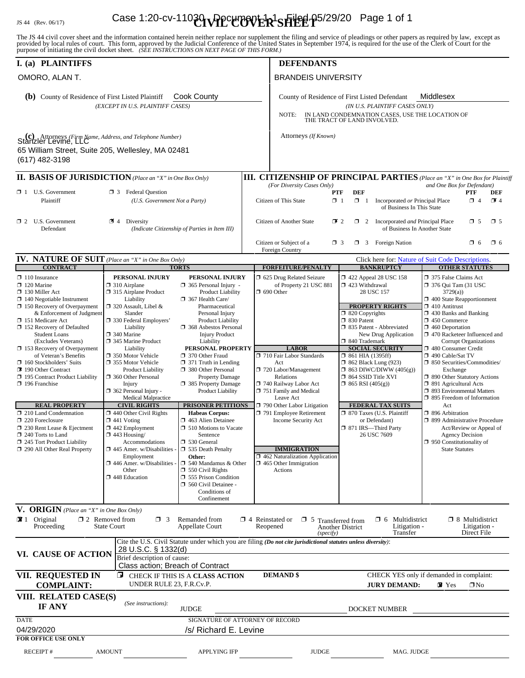# IS 44 (Rev. 06/17) **Case 1:20-cv-11030 \\Ppctmovier 15 Higgl-p5/29/20** Page 1 of 1

The JS 44 civil cover sheet and the information contained herein neither replace nor supplement the filing and service of pleadings or other papers as required by law, except as provided by local rules of court. This form,

| I. (a) PLAINTIFFS                                                                                                                                                                                                                                                                                                                                                                                                                                                                                                                                                                                                                                                            |                                                                                                                                                                                                                                                                                                                                                                                                                                                                                                                                                                                                                                                               |                                                                                                                                                                                                                                                                                                                                                                                                                                                                                                                                                                                                                                                                                                                    | <b>DEFENDANTS</b>                                                                                                                                                                                                                                                                                                                                                                                                                   |                                                                                                                                                                                                                                                                                                                                                                                                                                                                                                        |                                                                                                                                                                                                                                                                                                                                                                                                                                                                                                                                                                                                                                                                               |  |  |  |  |
|------------------------------------------------------------------------------------------------------------------------------------------------------------------------------------------------------------------------------------------------------------------------------------------------------------------------------------------------------------------------------------------------------------------------------------------------------------------------------------------------------------------------------------------------------------------------------------------------------------------------------------------------------------------------------|---------------------------------------------------------------------------------------------------------------------------------------------------------------------------------------------------------------------------------------------------------------------------------------------------------------------------------------------------------------------------------------------------------------------------------------------------------------------------------------------------------------------------------------------------------------------------------------------------------------------------------------------------------------|--------------------------------------------------------------------------------------------------------------------------------------------------------------------------------------------------------------------------------------------------------------------------------------------------------------------------------------------------------------------------------------------------------------------------------------------------------------------------------------------------------------------------------------------------------------------------------------------------------------------------------------------------------------------------------------------------------------------|-------------------------------------------------------------------------------------------------------------------------------------------------------------------------------------------------------------------------------------------------------------------------------------------------------------------------------------------------------------------------------------------------------------------------------------|--------------------------------------------------------------------------------------------------------------------------------------------------------------------------------------------------------------------------------------------------------------------------------------------------------------------------------------------------------------------------------------------------------------------------------------------------------------------------------------------------------|-------------------------------------------------------------------------------------------------------------------------------------------------------------------------------------------------------------------------------------------------------------------------------------------------------------------------------------------------------------------------------------------------------------------------------------------------------------------------------------------------------------------------------------------------------------------------------------------------------------------------------------------------------------------------------|--|--|--|--|
| OMORO, ALAN T.                                                                                                                                                                                                                                                                                                                                                                                                                                                                                                                                                                                                                                                               |                                                                                                                                                                                                                                                                                                                                                                                                                                                                                                                                                                                                                                                               |                                                                                                                                                                                                                                                                                                                                                                                                                                                                                                                                                                                                                                                                                                                    |                                                                                                                                                                                                                                                                                                                                                                                                                                     | <b>BRANDEIS UNIVERSITY</b>                                                                                                                                                                                                                                                                                                                                                                                                                                                                             |                                                                                                                                                                                                                                                                                                                                                                                                                                                                                                                                                                                                                                                                               |  |  |  |  |
| Cook County<br><b>(b)</b> County of Residence of First Listed Plaintiff<br>(EXCEPT IN U.S. PLAINTIFF CASES)                                                                                                                                                                                                                                                                                                                                                                                                                                                                                                                                                                  |                                                                                                                                                                                                                                                                                                                                                                                                                                                                                                                                                                                                                                                               |                                                                                                                                                                                                                                                                                                                                                                                                                                                                                                                                                                                                                                                                                                                    | Middlesex<br>County of Residence of First Listed Defendant<br>(IN U.S. PLAINTIFF CASES ONLY)<br>IN LAND CONDEMNATION CASES, USE THE LOCATION OF<br>NOTE:<br>THE TRACT OF LAND INVOLVED.                                                                                                                                                                                                                                             |                                                                                                                                                                                                                                                                                                                                                                                                                                                                                                        |                                                                                                                                                                                                                                                                                                                                                                                                                                                                                                                                                                                                                                                                               |  |  |  |  |
| <b>(c)</b> Attorneys (Firm Name, Address, and Telephone Number)<br>Stanzler Levine, LLC<br>65 William Street, Suite 205, Wellesley, MA 02481<br>(617) 482-3198                                                                                                                                                                                                                                                                                                                                                                                                                                                                                                               |                                                                                                                                                                                                                                                                                                                                                                                                                                                                                                                                                                                                                                                               |                                                                                                                                                                                                                                                                                                                                                                                                                                                                                                                                                                                                                                                                                                                    | Attorneys (If Known)                                                                                                                                                                                                                                                                                                                                                                                                                |                                                                                                                                                                                                                                                                                                                                                                                                                                                                                                        |                                                                                                                                                                                                                                                                                                                                                                                                                                                                                                                                                                                                                                                                               |  |  |  |  |
| <b>II. BASIS OF JURISDICTION</b> (Place an "X" in One Box Only)                                                                                                                                                                                                                                                                                                                                                                                                                                                                                                                                                                                                              |                                                                                                                                                                                                                                                                                                                                                                                                                                                                                                                                                                                                                                                               |                                                                                                                                                                                                                                                                                                                                                                                                                                                                                                                                                                                                                                                                                                                    |                                                                                                                                                                                                                                                                                                                                                                                                                                     |                                                                                                                                                                                                                                                                                                                                                                                                                                                                                                        | <b>III. CITIZENSHIP OF PRINCIPAL PARTIES</b> (Place an "X" in One Box for Plaintiff                                                                                                                                                                                                                                                                                                                                                                                                                                                                                                                                                                                           |  |  |  |  |
| $\Box$ 1 U.S. Government<br>Plaintiff                                                                                                                                                                                                                                                                                                                                                                                                                                                                                                                                                                                                                                        | <b>3</b> Federal Question<br>(U.S. Government Not a Party)                                                                                                                                                                                                                                                                                                                                                                                                                                                                                                                                                                                                    |                                                                                                                                                                                                                                                                                                                                                                                                                                                                                                                                                                                                                                                                                                                    | and One Box for Defendant)<br>(For Diversity Cases Only)<br><b>DEF</b><br>PTF<br>PTF<br>DEF<br>Citizen of This State<br>$\Box$ 1<br>$\Box$ 1<br>Incorporated or Principal Place<br>$\Box$ 4<br>74<br>of Business In This State                                                                                                                                                                                                      |                                                                                                                                                                                                                                                                                                                                                                                                                                                                                                        |                                                                                                                                                                                                                                                                                                                                                                                                                                                                                                                                                                                                                                                                               |  |  |  |  |
| $\Box$ 2 U.S. Government<br>Defendant                                                                                                                                                                                                                                                                                                                                                                                                                                                                                                                                                                                                                                        | l 41<br>Diversity<br>(Indicate Citizenship of Parties in Item III)                                                                                                                                                                                                                                                                                                                                                                                                                                                                                                                                                                                            |                                                                                                                                                                                                                                                                                                                                                                                                                                                                                                                                                                                                                                                                                                                    | Citizen of Another State                                                                                                                                                                                                                                                                                                                                                                                                            | $\mathbb{Z}$ 2<br>$\Box$ 2 Incorporated <i>and</i> Principal Place<br>of Business In Another State                                                                                                                                                                                                                                                                                                                                                                                                     |                                                                                                                                                                                                                                                                                                                                                                                                                                                                                                                                                                                                                                                                               |  |  |  |  |
|                                                                                                                                                                                                                                                                                                                                                                                                                                                                                                                                                                                                                                                                              |                                                                                                                                                                                                                                                                                                                                                                                                                                                                                                                                                                                                                                                               |                                                                                                                                                                                                                                                                                                                                                                                                                                                                                                                                                                                                                                                                                                                    | Citizen or Subject of a<br>Foreign Country                                                                                                                                                                                                                                                                                                                                                                                          | $\Box$ 3 Foreign Nation<br>$\Box$ 3                                                                                                                                                                                                                                                                                                                                                                                                                                                                    | $\Box$ 6<br>$\square$ 6                                                                                                                                                                                                                                                                                                                                                                                                                                                                                                                                                                                                                                                       |  |  |  |  |
| <b>IV. NATURE OF SUIT</b> (Place an "X" in One Box Only)<br><b>CONTRACT</b>                                                                                                                                                                                                                                                                                                                                                                                                                                                                                                                                                                                                  |                                                                                                                                                                                                                                                                                                                                                                                                                                                                                                                                                                                                                                                               | <b>TORTS</b>                                                                                                                                                                                                                                                                                                                                                                                                                                                                                                                                                                                                                                                                                                       | <b>FORFEITURE/PENALTY</b>                                                                                                                                                                                                                                                                                                                                                                                                           | <b>BANKRUPTCY</b>                                                                                                                                                                                                                                                                                                                                                                                                                                                                                      | Click here for: Nature of Suit Code Descriptions.<br><b>OTHER STATUTES</b>                                                                                                                                                                                                                                                                                                                                                                                                                                                                                                                                                                                                    |  |  |  |  |
| $\Box$ 110 Insurance<br>$\Box$ 120 Marine<br>$\Box$ 130 Miller Act<br>$\Box$ 140 Negotiable Instrument<br>$\Box$ 150 Recovery of Overpayment<br>& Enforcement of Judgment<br>□ 151 Medicare Act<br>$\Box$ 152 Recovery of Defaulted<br><b>Student Loans</b><br>(Excludes Veterans)<br>$\Box$ 153 Recovery of Overpayment<br>of Veteran's Benefits<br>$\Box$ 160 Stockholders' Suits<br>190 Other Contract<br>195 Contract Product Liability<br>$\Box$ 196 Franchise<br><b>REAL PROPERTY</b><br>$\Box$ 210 Land Condemnation<br>$\Box$ 220 Foreclosure<br>$\Box$ 230 Rent Lease & Ejectment<br>240 Torts to Land<br>245 Tort Product Liability<br>290 All Other Real Property | PERSONAL INJURY<br>$\Box$ 310 Airplane<br>□ 315 Airplane Product<br>Liability<br>$\Box$ 320 Assault, Libel &<br>Slander<br>□ 330 Federal Employers'<br>Liability<br>$\Box$ 340 Marine<br>345 Marine Product<br>Liability<br>□ 350 Motor Vehicle<br>□ 355 Motor Vehicle<br><b>Product Liability</b><br>360 Other Personal<br>Injury<br>$\Box$ 362 Personal Injury -<br><b>Medical Malpractice</b><br><b>CIVIL RIGHTS</b><br>$\Box$ 440 Other Civil Rights<br>$\Box$ 441 Voting<br>$\Box$ 442 Employment<br>$\Box$ 443 Housing/<br>Accommodations<br>$\Box$ 445 Amer. w/Disabilities<br>Employment<br>$\Box$ 446 Amer. w/Disabilities<br>Other<br>448 Education | PERSONAL INJURY<br>$\Box$ 365 Personal Injury -<br><b>Product Liability</b><br>$\Box$ 367 Health Care/<br>Pharmaceutical<br>Personal Injury<br>Product Liability<br><b>1368</b> Asbestos Personal<br><b>Injury Product</b><br>Liability<br>PERSONAL PROPERTY<br>□ 370 Other Fraud<br>$\Box$ 371 Truth in Lending<br>380 Other Personal<br>Property Damage<br>□ 385 Property Damage<br>Product Liability<br>PRISONER PETITIONS<br><b>Habeas Corpus:</b><br>463 Alien Detainee<br>$\Box$ 510 Motions to Vacate<br>Sentence<br>530 General<br>535 Death Penalty<br>Other:<br>□ 540 Mandamus & Other<br>$\Box$ 550 Civil Rights<br>$\Box$ 555 Prison Condition<br>560 Civil Detainee -<br>Conditions of<br>Confinement | 5 625 Drug Related Seizure<br>of Property 21 USC 881<br>$\Box$ 690 Other<br><b>LABOR</b><br>710 Fair Labor Standards<br>Act<br>$\Box$ 720 Labor/Management<br>Relations<br>740 Railway Labor Act<br>$\Box$ 751 Family and Medical<br>Leave Act<br>790 Other Labor Litigation<br>791 Employee Retirement<br>Income Security Act<br><b>IMMIGRATION</b><br>□ 462 Naturalization Application<br>$\Box$ 465 Other Immigration<br>Actions | 1 422 Appeal 28 USC 158<br>1 423 Withdrawal<br>28 USC 157<br><b>PROPERTY RIGHTS</b><br>$\Box$ 820 Copyrights<br>$\Box$ 830 Patent<br>□ 835 Patent - Abbreviated<br>New Drug Application<br>□ 840 Trademark<br><b>SOCIAL SECURITY</b><br>$\Box$ 861 HIA (1395ff)<br>$\Box$ 862 Black Lung (923)<br>$\Box$ 863 DIWC/DIWW (405(g))<br>□ 864 SSID Title XVI<br>$\Box$ 865 RSI (405(g))<br><b>FEDERAL TAX SUITS</b><br>□ 870 Taxes (U.S. Plaintiff<br>or Defendant)<br>□ 871 IRS-Third Party<br>26 USC 7609 | □ 375 False Claims Act<br>□ 376 Qui Tam (31 USC<br>3729(a)<br>$\Box$ 400 State Reapportionment<br>$\Box$ 410 Antitrust<br>$\Box$ 430 Banks and Banking<br>$\Box$ 450 Commerce<br>$\Box$ 460 Deportation<br>□ 470 Racketeer Influenced and<br><b>Corrupt Organizations</b><br>480 Consumer Credit<br>□ 490 Cable/Sat TV<br>□ 850 Securities/Commodities/<br>Exchange<br>□ 890 Other Statutory Actions<br>□ 891 Agricultural Acts<br>□ 893 Environmental Matters<br>□ 895 Freedom of Information<br>Act<br>□ 896 Arbitration<br>□ 899 Administrative Procedure<br>Act/Review or Appeal of<br><b>Agency Decision</b><br>$\Box$ 950 Constitutionality of<br><b>State Statutes</b> |  |  |  |  |
| V. ORIGIN (Place an "X" in One Box Only)                                                                                                                                                                                                                                                                                                                                                                                                                                                                                                                                                                                                                                     |                                                                                                                                                                                                                                                                                                                                                                                                                                                                                                                                                                                                                                                               |                                                                                                                                                                                                                                                                                                                                                                                                                                                                                                                                                                                                                                                                                                                    |                                                                                                                                                                                                                                                                                                                                                                                                                                     |                                                                                                                                                                                                                                                                                                                                                                                                                                                                                                        |                                                                                                                                                                                                                                                                                                                                                                                                                                                                                                                                                                                                                                                                               |  |  |  |  |
| <b>2</b> 1 Original<br>Proceeding                                                                                                                                                                                                                                                                                                                                                                                                                                                                                                                                                                                                                                            | $\Box$ 2 Removed from<br>$\Box$ 3<br><b>State Court</b>                                                                                                                                                                                                                                                                                                                                                                                                                                                                                                                                                                                                       | Remanded from<br><b>Appellate Court</b>                                                                                                                                                                                                                                                                                                                                                                                                                                                                                                                                                                                                                                                                            | $\Box$ 4 Reinstated or $\Box$ 5 Transferred from<br>Reopened<br>(specify)                                                                                                                                                                                                                                                                                                                                                           | $\Box$ 6 Multidistrict<br>Litigation -<br><b>Another District</b><br>Transfer                                                                                                                                                                                                                                                                                                                                                                                                                          | $\Box$ 8 Multidistrict<br>Litigation -<br>Direct File                                                                                                                                                                                                                                                                                                                                                                                                                                                                                                                                                                                                                         |  |  |  |  |
| VI. CAUSE OF ACTION                                                                                                                                                                                                                                                                                                                                                                                                                                                                                                                                                                                                                                                          | 28 U.S.C. § 1332(d)<br>Brief description of cause:<br>Class action; Breach of Contract                                                                                                                                                                                                                                                                                                                                                                                                                                                                                                                                                                        |                                                                                                                                                                                                                                                                                                                                                                                                                                                                                                                                                                                                                                                                                                                    | Cite the U.S. Civil Statute under which you are filing (Do not cite jurisdictional statutes unless diversity):                                                                                                                                                                                                                                                                                                                      |                                                                                                                                                                                                                                                                                                                                                                                                                                                                                                        |                                                                                                                                                                                                                                                                                                                                                                                                                                                                                                                                                                                                                                                                               |  |  |  |  |
| VII. REQUESTED IN<br><b>COMPLAINT:</b>                                                                                                                                                                                                                                                                                                                                                                                                                                                                                                                                                                                                                                       | UNDER RULE 23, F.R.Cv.P.                                                                                                                                                                                                                                                                                                                                                                                                                                                                                                                                                                                                                                      | CHECK IF THIS IS A CLASS ACTION                                                                                                                                                                                                                                                                                                                                                                                                                                                                                                                                                                                                                                                                                    | <b>DEMAND \$</b>                                                                                                                                                                                                                                                                                                                                                                                                                    | <b>JURY DEMAND:</b>                                                                                                                                                                                                                                                                                                                                                                                                                                                                                    | CHECK YES only if demanded in complaint:<br>$\triangledown$ Yes<br>$\square$ No                                                                                                                                                                                                                                                                                                                                                                                                                                                                                                                                                                                               |  |  |  |  |
| VIII. RELATED CASE(S)<br>IF ANY                                                                                                                                                                                                                                                                                                                                                                                                                                                                                                                                                                                                                                              | (See instructions):                                                                                                                                                                                                                                                                                                                                                                                                                                                                                                                                                                                                                                           | <b>JUDGE</b>                                                                                                                                                                                                                                                                                                                                                                                                                                                                                                                                                                                                                                                                                                       |                                                                                                                                                                                                                                                                                                                                                                                                                                     | DOCKET NUMBER                                                                                                                                                                                                                                                                                                                                                                                                                                                                                          |                                                                                                                                                                                                                                                                                                                                                                                                                                                                                                                                                                                                                                                                               |  |  |  |  |
| <b>DATE</b><br>04/29/2020<br><b>FOR OFFICE USE ONLY</b>                                                                                                                                                                                                                                                                                                                                                                                                                                                                                                                                                                                                                      |                                                                                                                                                                                                                                                                                                                                                                                                                                                                                                                                                                                                                                                               | SIGNATURE OF ATTORNEY OF RECORD<br>/s/ Richard E. Levine                                                                                                                                                                                                                                                                                                                                                                                                                                                                                                                                                                                                                                                           |                                                                                                                                                                                                                                                                                                                                                                                                                                     |                                                                                                                                                                                                                                                                                                                                                                                                                                                                                                        |                                                                                                                                                                                                                                                                                                                                                                                                                                                                                                                                                                                                                                                                               |  |  |  |  |
| <b>RECEIPT#</b>                                                                                                                                                                                                                                                                                                                                                                                                                                                                                                                                                                                                                                                              | <b>AMOUNT</b>                                                                                                                                                                                                                                                                                                                                                                                                                                                                                                                                                                                                                                                 | <b>APPLYING IFP</b>                                                                                                                                                                                                                                                                                                                                                                                                                                                                                                                                                                                                                                                                                                | <b>JUDGE</b>                                                                                                                                                                                                                                                                                                                                                                                                                        | MAG. JUDGE                                                                                                                                                                                                                                                                                                                                                                                                                                                                                             |                                                                                                                                                                                                                                                                                                                                                                                                                                                                                                                                                                                                                                                                               |  |  |  |  |